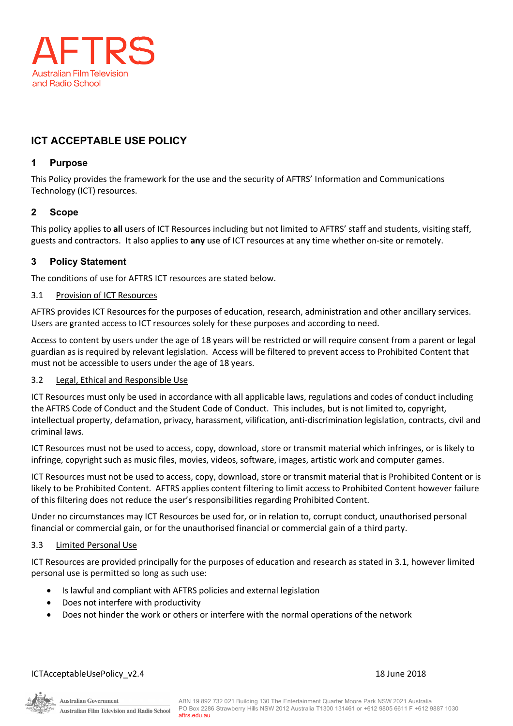

# **ICT ACCEPTABLE USE POLICY**

## **1 Purpose**

This Policy provides the framework for the use and the security of AFTRS' Information and Communications Technology (ICT) resources.

## **2 Scope**

This policy applies to **all** users of ICT Resources including but not limited to AFTRS' staff and students, visiting staff, guests and contractors. It also applies to **any** use of ICT resources at any time whether on-site or remotely.

## **3 Policy Statement**

The conditions of use for AFTRS ICT resources are stated below.

### 3.1 Provision of ICT Resources

AFTRS provides ICT Resources for the purposes of education, research, administration and other ancillary services. Users are granted access to ICT resources solely for these purposes and according to need.

Access to content by users under the age of 18 years will be restricted or will require consent from a parent or legal guardian as is required by relevant legislation. Access will be filtered to prevent access to Prohibited Content that must not be accessible to users under the age of 18 years.

#### 3.2 Legal, Ethical and Responsible Use

ICT Resources must only be used in accordance with all applicable laws, regulations and codes of conduct including the AFTRS Code of Conduct and the Student Code of Conduct. This includes, but is not limited to, copyright, intellectual property, defamation, privacy, harassment, vilification, anti-discrimination legislation, contracts, civil and criminal laws.

ICT Resources must not be used to access, copy, download, store or transmit material which infringes, or is likely to infringe, copyright such as music files, movies, videos, software, images, artistic work and computer games.

ICT Resources must not be used to access, copy, download, store or transmit material that is Prohibited Content or is likely to be Prohibited Content. AFTRS applies content filtering to limit access to Prohibited Content however failure of this filtering does not reduce the user's responsibilities regarding Prohibited Content.

Under no circumstances may ICT Resources be used for, or in relation to, corrupt conduct, unauthorised personal financial or commercial gain, or for the unauthorised financial or commercial gain of a third party.

#### 3.3 Limited Personal Use

ICT Resources are provided principally for the purposes of education and research as stated in 3.1, however limited personal use is permitted so long as such use:

- Is lawful and compliant with AFTRS policies and external legislation
- Does not interfere with productivity
- Does not hinder the work or others or interfere with the normal operations of the network

ICTAcceptableUsePolicy\_v2.4 18 June 2018

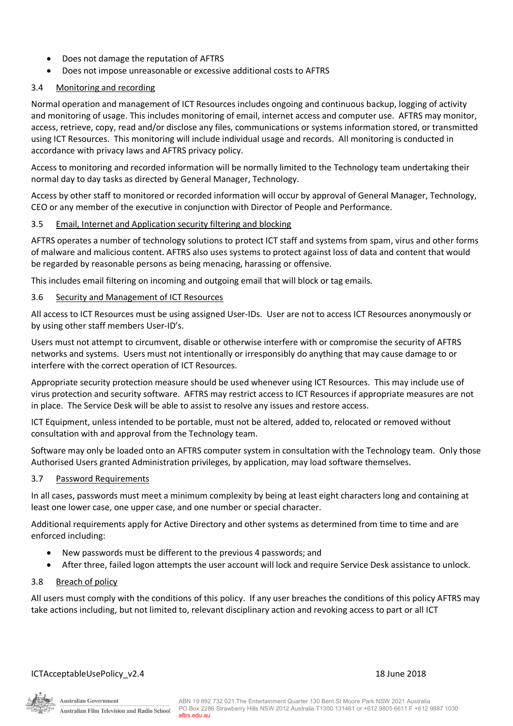- Does not damage the reputation of AFTRS
- Does not impose unreasonable or excessive additional costs to AFTRS

## 3.4 Monitoring and recording

Normal operation and management of ICT Resources includes ongoing and continuous backup, logging of activity and monitoring of usage. This includes monitoring of email, internet access and computer use. AFTRS may monitor, access, retrieve, copy, read and/or disclose any files, communications or systems information stored, or transmitted using ICT Resources. This monitoring will include individual usage and records. All monitoring is conducted in accordance with privacy laws and AFTRS privacy policy.

Access to monitoring and recorded information will be normally limited to the Technology team undertaking their normal day to day tasks as directed by General Manager, Technology.

Access by other staff to monitored or recorded information will occur by approval of General Manager, Technology, CEO or any member of the executive in conjunction with Director of People and Performance.

### 3.5 Email, Internet and Application security filtering and blocking

AFTRS operates a number of technology solutions to protect ICT staff and systems from spam, virus and other forms of malware and malicious content. AFTRS also uses systems to protect against loss of data and content that would be regarded by reasonable persons as being menacing, harassing or offensive.

This includes email filtering on incoming and outgoing email that will block or tag emails.

## 3.6 Security and Management of ICT Resources

All access to ICT Resources must be using assigned User-IDs. User are not to access ICT Resources anonymously or by using other staff members User-ID's.

Users must not attempt to circumvent, disable or otherwise interfere with or compromise the security of AFTRS networks and systems. Users must not intentionally or irresponsibly do anything that may cause damage to or interfere with the correct operation of ICT Resources.

Appropriate security protection measure should be used whenever using ICT Resources. This may include use of virus protection and security software. AFTRS may restrict access to ICT Resources if appropriate measures are not in place. The Service Desk will be able to assist to resolve any issues and restore access.

ICT Equipment, unless intended to be portable, must not be altered, added to, relocated or removed without consultation with and approval from the Technology team.

Software may only be loaded onto an AFTRS computer system in consultation with the Technology team. Only those Authorised Users granted Administration privileges, by application, may load software themselves.

#### 3.7 Password Requirements

In all cases, passwords must meet a minimum complexity by being at least eight characters long and containing at least one lower case, one upper case, and one number or special character.

Additional requirements apply for Active Directory and other systems as determined from time to time and are enforced including:

- New passwords must be different to the previous 4 passwords; and
- After three, failed logon attempts the user account will lock and require Service Desk assistance to unlock.

#### 3.8 Breach of policy

All users must comply with the conditions of this policy. If any user breaches the conditions of this policy AFTRS may take actions including, but not limited to, relevant disciplinary action and revoking access to part or all ICT

## ICTAcceptableUsePolicy\_v2.4 18 June 2018

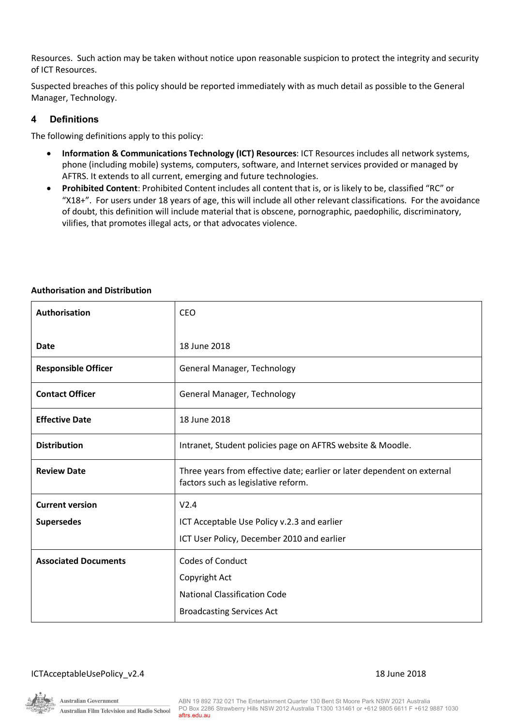Resources. Such action may be taken without notice upon reasonable suspicion to protect the integrity and security of ICT Resources.

Suspected breaches of this policy should be reported immediately with as much detail as possible to the General Manager, Technology.

## **4 Definitions**

The following definitions apply to this policy:

- **Information & Communications Technology (ICT) Resources**: ICT Resources includes all network systems, phone (including mobile) systems, computers, software, and Internet services provided or managed by AFTRS. It extends to all current, emerging and future technologies.
- **Prohibited Content**: Prohibited Content includes all content that is, or is likely to be, classified "RC" or "X18+". For users under 18 years of age, this will include all other relevant classifications. For the avoidance of doubt, this definition will include material that is obscene, pornographic, paedophilic, discriminatory, vilifies, that promotes illegal acts, or that advocates violence.

| Authorisation               | CEO                                                                                                            |
|-----------------------------|----------------------------------------------------------------------------------------------------------------|
| <b>Date</b>                 | 18 June 2018                                                                                                   |
| <b>Responsible Officer</b>  | General Manager, Technology                                                                                    |
| <b>Contact Officer</b>      | General Manager, Technology                                                                                    |
| <b>Effective Date</b>       | 18 June 2018                                                                                                   |
| <b>Distribution</b>         | Intranet, Student policies page on AFTRS website & Moodle.                                                     |
| <b>Review Date</b>          | Three years from effective date; earlier or later dependent on external<br>factors such as legislative reform. |
| <b>Current version</b>      | V2.4                                                                                                           |
| <b>Supersedes</b>           | ICT Acceptable Use Policy v.2.3 and earlier                                                                    |
|                             | ICT User Policy, December 2010 and earlier                                                                     |
| <b>Associated Documents</b> | <b>Codes of Conduct</b>                                                                                        |
|                             | Copyright Act                                                                                                  |
|                             | <b>National Classification Code</b>                                                                            |
|                             | <b>Broadcasting Services Act</b>                                                                               |

### **Authorisation and Distribution**

#### ICTAcceptableUsePolicy v2.4 18 June 2018



ABN 19 892 732 021 The Entertainment Quarter 130 Bent St Moore Park NSW 2021 Australia PO Box 2286 Strawberry Hills NSW 2012 Australia T1300 131461 or +612 9805 6611 F +612 9887 1030 aftrs.edu.au